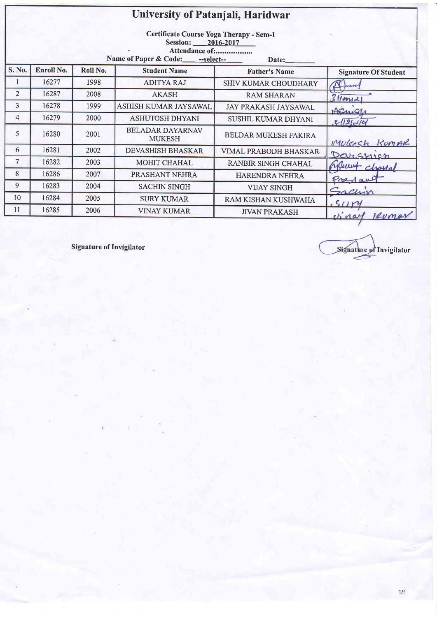|        | University of Patanjali, Haridwar                                                                                              |          |                                          |                        |                             |  |  |  |
|--------|--------------------------------------------------------------------------------------------------------------------------------|----------|------------------------------------------|------------------------|-----------------------------|--|--|--|
|        | Certificate Course Yoga Therapy - Sem-1<br>Session: 2016-2017<br>Attendance of:<br>Name of Paper & Code: - -- select-<br>Date: |          |                                          |                        |                             |  |  |  |
| S. No. | Enroll No.                                                                                                                     | Roll No. | <b>Student Name</b>                      | <b>Father's Name</b>   | <b>Signature Of Student</b> |  |  |  |
|        | 16277                                                                                                                          | 1998     | <b>ADITYA RAJ</b>                        | SHIV KUMAR CHOUDHARY   |                             |  |  |  |
| 2      | 16287                                                                                                                          | 2008     | <b>AKASH</b>                             | <b>RAM SHARAN</b>      | $3$ Mary 2                  |  |  |  |
| 3      | 16278                                                                                                                          | 1999     | ASHISH KUMAR JAYSAWAL                    | JAY PRAKASH JAYSAWAL   | AEmas                       |  |  |  |
| 4      | 16279                                                                                                                          | 2000     | <b>ASHUTOSH DHYANI</b>                   | SUSHIL KUMAR DHYANI    | $3121 - 14$                 |  |  |  |
| 5      | 16280                                                                                                                          | 2001     | <b>BELADAR DAYARNAV</b><br><b>MUKESH</b> | BELDAR MUKESH FAKIRA   | Mulerch KumAR               |  |  |  |
| 6      | 16281                                                                                                                          | 2002     | DEVASHISH BHASKAR                        | VIMAL PRABODH BHASKAR- | Darchich                    |  |  |  |
| 7      | 16282                                                                                                                          | 2003     | <b>MOHIT CHAHAL</b>                      | RANBIR SINGH CHAHAL    | Munt charrol                |  |  |  |
| 8      | 16286                                                                                                                          | 2007     | PRASHANT NEHRA                           | HARENDRA NEHRA         | Predan                      |  |  |  |
| 9      | 16283                                                                                                                          | 2004     | <b>SACHIN SINGH</b>                      | <b>VIJAY SINGH</b>     | sachin                      |  |  |  |
| 10     | 16284                                                                                                                          | 2005     | <b>SURY KUMAR</b>                        | RAM KISHAN KUSHWAHA    | 50y                         |  |  |  |
| 11     | 16285                                                                                                                          | 2006     | <b>VINAY KUMAR</b>                       | <b>JIVAN PRAKASH</b>   | vinal levmar                |  |  |  |

Signature of Invigilator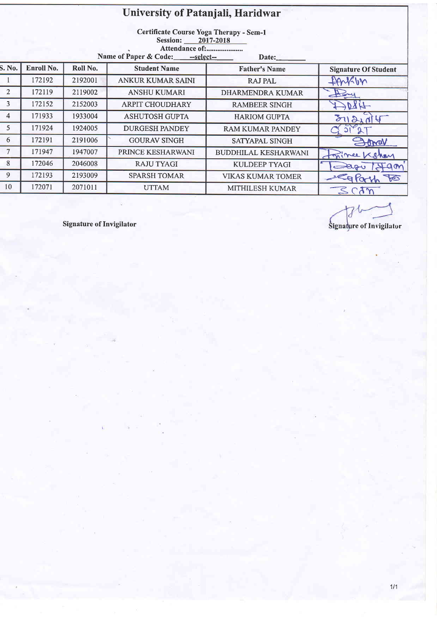## University of Patanjali, Haridwar

Certificate Course Yoga Therapy - Sem-1<br>Session: 2017-2018

Attendance of:......................

| Name of Paper & Code: |  | --select-- |
|-----------------------|--|------------|
|-----------------------|--|------------|

|                | Traine of Paper & Code: $ -$ select--<br>$\mathbf{Date:}$ |          |                          |                             |                             |  |  |
|----------------|-----------------------------------------------------------|----------|--------------------------|-----------------------------|-----------------------------|--|--|
| S. No.         | Enroll No.                                                | Roll No. | <b>Student Name</b>      | <b>Father's Name</b>        | <b>Signature Of Student</b> |  |  |
|                | 172192                                                    | 2192001  | <b>ANKUR KUMAR SAINI</b> | <b>RAJ PAL</b>              | fanklin                     |  |  |
| 2              | 172119                                                    | 2119002  | <b>ANSHU KUMARI</b>      | <b>DHARMENDRA KUMAR</b>     | Pay                         |  |  |
| 3              | 172152                                                    | 2152003  | <b>ARPIT CHOUDHARY</b>   | <b>RAMBEER SINGH</b>        | DRA-                        |  |  |
| $\overline{4}$ | 171933                                                    | 1933004  | <b>ASHUTOSH GUPTA</b>    | <b>HARIOM GUPTA</b>         | 3112144                     |  |  |
| 5              | 171924                                                    | 1924005  | <b>DURGESH PANDEY</b>    | <b>RAM KUMAR PANDEY</b>     |                             |  |  |
| 6              | 172191                                                    | 2191006  | <b>GOURAV SINGH</b>      | <b>SATYAPAL SINGH</b>       | Jonal                       |  |  |
|                | 171947                                                    | 1947007  | PRINCE KESHARWANI        | <b>BUDDHILAL KESHARWANI</b> | Frince Kshan                |  |  |
| 8              | 172046                                                    | 2046008  | <b>RAJU TYAGI</b>        | <b>KULDEEP TYAGI</b>        | Darv<br>Igon                |  |  |
| 9              | 172193                                                    | 2193009  | <b>SPARSH TOMAR</b>      | <b>VIKAS KUMAR TOMER</b>    | a Parth<br>F                |  |  |
| 10             | 172071                                                    | 2071011  | <b>UTTAM</b>             | MITHILESH KUMAR             | SON                         |  |  |
|                |                                                           |          |                          |                             |                             |  |  |

Signature of Invigilator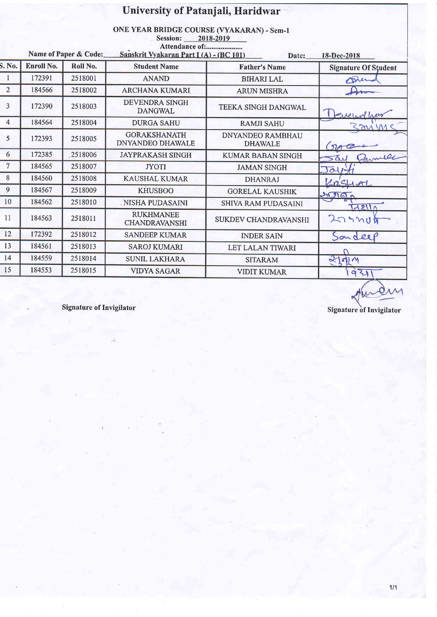|                |            |                       | University of Patanjali, Haridwar                                                                                                                    |                                           |                             |  |
|----------------|------------|-----------------------|------------------------------------------------------------------------------------------------------------------------------------------------------|-------------------------------------------|-----------------------------|--|
|                |            | Name of Paper & Code: | ONE YEAR BRIDGE COURSE (VYAKARAN) - Sem-1<br>Session: 2018-2019<br>Attendance of:<br>Sanskrit Vyakaran Part I (A) - (BC 101)<br>Date:<br>18-Dec-2018 |                                           |                             |  |
| S. No.         | Enroll No. | Roll No.              | <b>Student Name</b>                                                                                                                                  | <b>Father's Name</b>                      | <b>Signature Of Student</b> |  |
| $\mathbf{1}$   | 172391     | 2518001               | <b>ANAND</b>                                                                                                                                         | <b>BIHARI LAL</b>                         | Dren                        |  |
| 2              | 184566     | 2518002               | <b>ARCHANA KUMARI</b>                                                                                                                                | <b>ARUN MISHRA</b>                        |                             |  |
| 3              | 172390     | 2518003               | <b>DEVENDRA SINGH</b><br><b>DANGWAL</b>                                                                                                              | TEEKA SINGH DANGWAL                       | Prietrafre                  |  |
| $\overline{4}$ | 184564     | 2518004               | <b>DURGA SAHU</b>                                                                                                                                    | <b>RAMJI SAHU</b>                         |                             |  |
| 5              | 172393     | 2518005               | <b>GORAKSHANATH</b><br><b>DNYANDEO DHAWALE</b>                                                                                                       | <b>DNYANDEO RAMBHAU</b><br><b>DHAWALE</b> |                             |  |
| 6              | 172385     | 2518006               | <b>JAYPRAKASH SINGH</b>                                                                                                                              | <b>KUMAR BABAN SINGH</b>                  | 501                         |  |
| $\overline{7}$ | 184565     | 2518007               | <b>JYOTI</b>                                                                                                                                         | <b>JAMAN SINGH</b>                        | Jour                        |  |
| 8              | 184560     | 2518008               | <b>KAUSHAL KUMAR</b>                                                                                                                                 | <b>DHANRAJ</b>                            | $495$ -1-1                  |  |
| 9              | 184567     | 2518009               | <b>KHUSBOO</b>                                                                                                                                       | <b>GORELAL KAUSHIK</b>                    | 3590                        |  |
| 10             | 184562     | 2518010               | . NISHA PUDASAINI                                                                                                                                    | <b>SHIVA RAM PUDASAINI</b>                | <b>A211</b>                 |  |
| 11             | 184563     | 2518011               | <b>RUKHMANEE</b><br><b>CHANDRAVANSHI</b>                                                                                                             | SUKDEV CHANDRAVANSHI                      | 279900                      |  |
| 12             | 172392     | 2518012               | <b>SANDEEP KUMAR</b>                                                                                                                                 | <b>INDER SAIN</b>                         | Sonderp                     |  |
| 13             | 184561     | 2518013               | <b>SAROJ KUMARI</b>                                                                                                                                  | LET LALAN TIWARI                          |                             |  |
| 14             | 184559     | 2518014               | <b>SUNIL LAKHARA</b>                                                                                                                                 | <b>SITARAM</b>                            | 21014                       |  |
| 15             | 184553     | 2518015               | <b>VIDYA SAGAR</b>                                                                                                                                   | <b>VIDIT KUMAR</b>                        | 931                         |  |

Hundry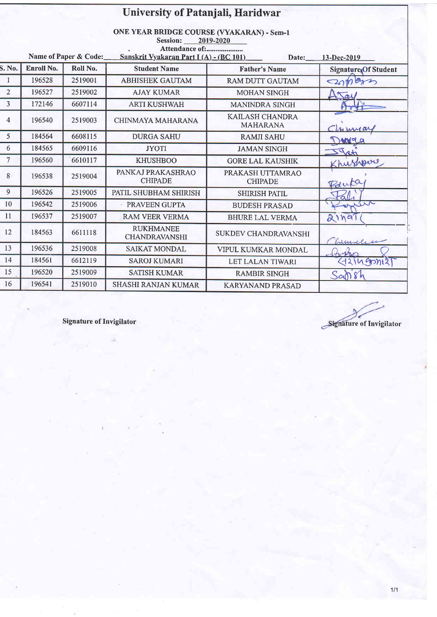|                |                   |                       | University of Patanjali, Haridwar                                                                                         |                                    |                       |
|----------------|-------------------|-----------------------|---------------------------------------------------------------------------------------------------------------------------|------------------------------------|-----------------------|
|                |                   | Name of Paper & Code: | <b>ONE YEAR BRIDGE COURSE (VYAKARAN) - Sem-1</b><br>Session:<br>Attendance of:<br>Sanskrit Vyakaran Part I (A) - (BC 101) | 2019-2020<br>Date:                 | $13-Dec-2019$         |
| S. No.         | <b>Enroll No.</b> | Roll No.              | <b>Student Name</b>                                                                                                       | <b>Father's Name</b>               | Signature, Of Student |
| 1              | 196528            | 2519001               | <b>ABHISHEK GAUTAM</b>                                                                                                    | <b>RAM DUTT GAUTAM</b>             | combro                |
| 2              | 196527            | 2519002               | <b>AJAY KUMAR</b>                                                                                                         | <b>MOHAN SINGH</b>                 | Tal                   |
| 3              | 172146            | 6607114               | <b>ARTI KUSHWAH</b>                                                                                                       | <b>MANINDRA SINGH</b>              |                       |
| $\overline{4}$ | 196540            | 2519003               | CHINMAYA MAHARANA                                                                                                         | KAILASH CHANDRA<br><b>MAHARANA</b> | 4 mind                |
| 5              | 184564            | 6608115               | <b>DURGA SAHU</b>                                                                                                         | <b>RAMJI SAHU</b>                  | DANGO                 |
| 6              | 184565            | 6609116               | <b>JYOTI</b>                                                                                                              | <b>JAMAN SINGH</b>                 | tota                  |
| $\tau$         | 196560            | 6610117               | <b>KHUSHBOO</b>                                                                                                           | <b>GORE LAL KAUSHIK</b>            | Khushpero             |
| 8              | 196538            | 2519004               | PANKAJ PRAKASHRAO<br><b>CHIPADE</b>                                                                                       | PRAKASH UTTAMRAO<br><b>CHIPADE</b> | Paula                 |
| 9              | 196526            | 2519005               | PATIL SHUBHAM SHIRISH                                                                                                     | <b>SHIRISH PATIL</b>               |                       |
| 10             | 196542            | 2519006               | PRAVEEN GUPTA                                                                                                             | <b>BUDESH PRASAD</b>               | wir                   |
| 11             | 196537            | 2519007               | <b>RAM VEER VERMA</b>                                                                                                     | <b>BHURE LAL VERMA</b>             | 211991                |
| 12             | 184563            | 6611118               | <b>RUKHMANEE</b><br><b>CHANDRAVANSHI</b>                                                                                  | SUKDEV CHANDRAVANSHI               | Lumilie               |
| 13             | 196536            | 2519008               | <b>SAIKAT MONDAL</b>                                                                                                      | VIPUL KUMKAR MONDAL                | (hopes                |
| 14             | 184561            | 6612119               | <b>SAROJ KUMARI</b>                                                                                                       | LET LALAN TIWARI                   | 421499121             |
| 15             | 196520            | 2519009               | <b>SATISH KUMAR</b>                                                                                                       | <b>RAMBIR SINGH</b>                | Sansh                 |
| 16             | 196541            | 2519010               | <b>SHASHI RANJAN KUMAR</b>                                                                                                | <b>KARYANAND PRASAD</b>            |                       |

Signature of Invigilator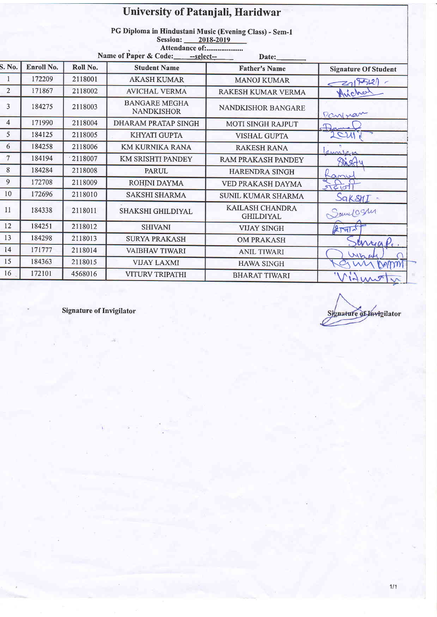|                 | University of Patanjali, Haridwar<br>PG Diploma in Hindustani Music (Evening Class) - Sem-1<br>Session: 2018-2019<br>Attendance of:<br>Name of Paper & Code: - -- select--<br>Date: |          |                                           |                                     |                             |  |  |
|-----------------|-------------------------------------------------------------------------------------------------------------------------------------------------------------------------------------|----------|-------------------------------------------|-------------------------------------|-----------------------------|--|--|
| S. No.          | Enroll No.                                                                                                                                                                          | Roll No. | <b>Student Name</b>                       | <b>Father's Name</b>                | <b>Signature Of Student</b> |  |  |
| 1               | 172209                                                                                                                                                                              | 2118001  | <b>AKASH KUMAR</b>                        | <b>MANOJ KUMAR</b>                  | 21772                       |  |  |
| $\overline{2}$  | 171867                                                                                                                                                                              | 2118002  | <b>AVICHAL VERMA</b>                      | RAKESH KUMAR VERMA                  | Avicha                      |  |  |
| 3               | 184275                                                                                                                                                                              | 2118003  | <b>BANGARE MEGHA</b><br><b>NANDKISHOR</b> | <b>NANDKISHOR BANGARE</b>           | Pantran                     |  |  |
| 4               | 171990                                                                                                                                                                              | 2118004  | <b>DHARAM PRATAP SINGH</b>                | <b>MOTI SINGH RAJPUT</b>            | Dern                        |  |  |
| 5 <sup>5</sup>  | 184125                                                                                                                                                                              | 2118005  | <b>KHYATI GUPTA</b>                       | <b>VISHAL GUPTA</b>                 | 2CM                         |  |  |
| 6               | 184258                                                                                                                                                                              | 2118006  | <b>KM KURNIKA RANA</b>                    | <b>RAKESH RANA</b>                  | amplan                      |  |  |
| $7\overline{ }$ | 184194                                                                                                                                                                              | 2118007  | KM SRISHTI PANDEY                         | RAM PRAKASH PANDEY                  | Stasty                      |  |  |
| 8               | 184284                                                                                                                                                                              | 2118008  | <b>PARUL</b>                              | <b>HARENDRA SINGH</b>               | $\alpha$ mu                 |  |  |
| 9               | 172708                                                                                                                                                                              | 2118009  | ROHINI DAYMA                              | VED PRAKASH DAYMA                   | 560                         |  |  |
| 10              | 172696                                                                                                                                                                              | 2118010  | <b>SAKSHI SHARMA</b>                      | <b>SUNIL KUMAR SHARMA</b>           | SaksnI -                    |  |  |
| 11              | 184338                                                                                                                                                                              | 2118011  | SHAKSHI GHILDIYAL                         | KAILASH CHANDRA<br><b>GHILDIYAL</b> | Samelogue                   |  |  |
| 12              | 184251                                                                                                                                                                              | 2118012  | <b>SHIVANI</b>                            | <b>VIJAY SINGH</b>                  | $2$ $rad$                   |  |  |
| 13              | 184298                                                                                                                                                                              | 2118013  | <b>SURYA PRAKASH</b>                      | <b>OM PRAKASH</b>                   | unyap.                      |  |  |
| 14              | 171777                                                                                                                                                                              | 2118014  | <b>VAIBHAV TIWARI</b>                     | <b>ANIL TIWARI</b>                  | Whe                         |  |  |
| 15              | 184363                                                                                                                                                                              | 2118015  | <b>VIJAY LAXMI</b>                        | <b>HAWA SINGH</b>                   |                             |  |  |
| 16              | 172101                                                                                                                                                                              | 4568016  | <b>VITURV TRIPATHI</b>                    | <b>BHARAT TIWARI</b>                | $M_{i}$<br>$\sigma$         |  |  |

Signature of Invigilator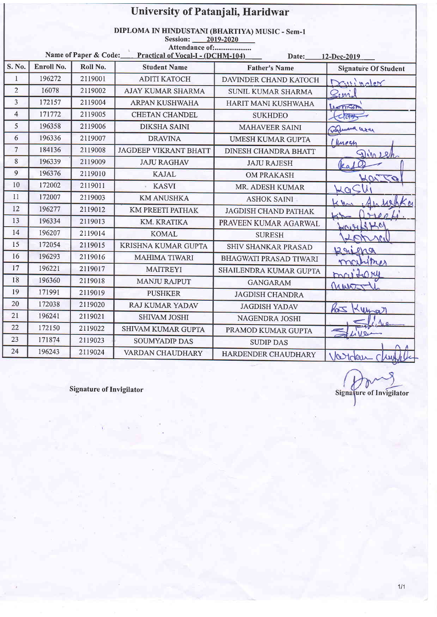|                | University of Patanjali, Haridwar                                                                                                                                               |          |                              |                               |                             |  |  |
|----------------|---------------------------------------------------------------------------------------------------------------------------------------------------------------------------------|----------|------------------------------|-------------------------------|-----------------------------|--|--|
|                | DIPLOMA IN HINDUSTANI (BHARTIYA) MUSIC - Sem-1<br>Session:<br>2019-2020<br>Attendance of:<br>Name of Paper & Code:<br>Practical of Vocal-I - (DCHM-104)<br>Date:<br>12-Dec-2019 |          |                              |                               |                             |  |  |
| S. No.         | Enroll No.                                                                                                                                                                      | Roll No. | <b>Student Name</b>          | <b>Father's Name</b>          | <b>Signature Of Student</b> |  |  |
| $\mathbf{1}$   | 196272                                                                                                                                                                          | 2119001  | <b>ADITI KATOCH</b>          | DAVINDER CHAND KATOCH         | Daningler                   |  |  |
| $\overline{2}$ | 16078                                                                                                                                                                           | 2119002  | <b>AJAY KUMAR SHARMA</b>     | <b>SUNIL KUMAR SHARMA</b>     | Quil                        |  |  |
| $\overline{3}$ | 172157                                                                                                                                                                          | 2119004  | <b>ARPAN KUSHWAHA</b>        | HARIT MANI KUSHWAHA           | LANTICOPY                   |  |  |
| $\overline{4}$ | 171772                                                                                                                                                                          | 2119005  | <b>CHETAN CHANDEL</b>        | <b>SUKHDEO</b>                |                             |  |  |
| 5              | 196358                                                                                                                                                                          | 2119006  | <b>DIKSHA SAINI</b>          | <b>MAHAVEER SAINI</b>         | againment user              |  |  |
| 6              | 196336                                                                                                                                                                          | 2119007  | <b>DRAVINA</b>               | <b>UMESH KUMAR GUPTA</b>      | 1 Imegn                     |  |  |
| $\overline{7}$ | 184136                                                                                                                                                                          | 2119008  | <b>JAGDEEP VIKRANT BHATT</b> | <b>DINESH CHANDRA BHATT</b>   | $\mathcal{L}$               |  |  |
| 8              | 196339                                                                                                                                                                          | 2119009  | <b>JAJU RAGHAV</b>           | <b>JAJU RAJESH</b>            |                             |  |  |
| 9              | 196376                                                                                                                                                                          | 2119010  | <b>KAJAL</b>                 | <b>OM PRAKASH</b>             | Warro                       |  |  |
| 10             | 172002                                                                                                                                                                          | 2119011  | <b>KASVI</b>                 | MR. ADESH KUMAR               |                             |  |  |
| 11             | 172007                                                                                                                                                                          | 2119003  | <b>KM ANUSHKA</b>            | <b>ASHOK SAINI</b>            |                             |  |  |
| 12             | 196277                                                                                                                                                                          | 2119012  | <b>KM PREETI PATHAK</b>      | <b>JAGDISH CHAND PATHAK</b>   |                             |  |  |
| 13             | 196334                                                                                                                                                                          | 2119013  | KM. KRATIKA                  | PRAVEEN KUMAR AGARWAL         | cascustic                   |  |  |
| 14             | 196207                                                                                                                                                                          | 2119014  | <b>KOMAL</b>                 | <b>SURESH</b>                 | DD<br>$\Delta$              |  |  |
| 15             | 172054                                                                                                                                                                          | 2119015  | KRISHNA KUMAR GUPTA          | SHIV SHANKAR PRASAD           | Raigna                      |  |  |
| 16             | 196293                                                                                                                                                                          | 2119016  | <b>MAHIMA TIWARI</b>         | <b>BHAGWATI PRASAD TIWARI</b> | martines                    |  |  |
| 17             | 196221                                                                                                                                                                          | 2119017  | <b>MAITREYI</b>              | SHAILENDRA KUMAR GUPTA        | maitory                     |  |  |
| 18             | 196360                                                                                                                                                                          | 2119018  | <b>MANJU RAJPUT</b>          | <b>GANGARAM</b>               | MWJ                         |  |  |
| 19             | 171991                                                                                                                                                                          | 2119019  | <b>PUSHKER</b>               | <b>JAGDISH CHANDRA</b>        |                             |  |  |
| 20             | 172038                                                                                                                                                                          | 2119020  | <b>RAJ KUMAR YADAV</b>       | <b>JAGDISH YADAV</b>          | hot<br>Leman                |  |  |
| 21             | 196241                                                                                                                                                                          | 2119021  | <b>SHIVAM JOSHI</b>          | <b>NAGENDRA JOSHI</b>         |                             |  |  |
| 22             | 172150                                                                                                                                                                          | 2119022  | <b>SHIVAM KUMAR GUPTA</b>    | PRAMOD KUMAR GUPTA            | $12\nu$                     |  |  |
| 23             | 171874                                                                                                                                                                          | 2119023  | <b>SOUMYADIP DAS</b>         | <b>SUDIP DAS</b>              |                             |  |  |
| 24             | 196243                                                                                                                                                                          | 2119024  | VARDAN CHAUDHARY             | HARDENDER CHAUDHARY           | Varidan                     |  |  |

Q Signature of Invigilator